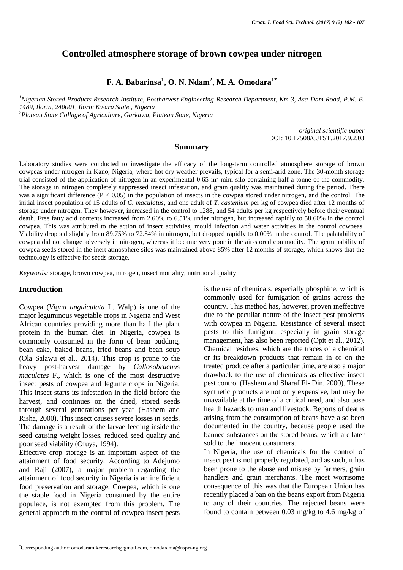## **Controlled atmosphere storage of brown cowpea under nitrogen**

**F. A. Babarinsa<sup>1</sup> , O. N. Ndam<sup>2</sup> , M. A. Omodara1\***

*<sup>1</sup>Nigerian Stored Products Research Institute, Postharvest Engineering Research Department, Km 3, Asa-Dam Road, P.M. B. 1489, Ilorin, 240001, Ilorin Kwara State , Nigeria*

*<sup>2</sup>Plateau State Collage of Agriculture, Garkawa, Plateau State, Nigeria*

*original scientific paper* DOI: 10.17508/CJFST.2017.9.2.03

## **Summary**

Laboratory studies were conducted to investigate the efficacy of the long-term controlled atmosphere storage of brown cowpeas under nitrogen in Kano, Nigeria, where hot dry weather prevails, typical for a semi-arid zone. The 30-month storage trial consisted of the application of nitrogen in an experimental  $0.65 \text{ m}^3$  mini-silo containing half a tonne of the commodity. The storage in nitrogen completely suppressed insect infestation, and grain quality was maintained during the period. There was a significant difference ( $P < 0.05$ ) in the population of insects in the cowpea stored under nitrogen, and the control. The initial insect population of 15 adults of *C. maculatus*, and one adult of *T. castenium* per kg of cowpea died after 12 months of storage under nitrogen. They however, increased in the control to 1288, and 54 adults per kg respectively before their eventual death. Free fatty acid contents increased from 2.60% to 6.51% under nitrogen, but increased rapidly to 58.60% in the control cowpea. This was attributed to the action of insect activities, mould infection and water activities in the control cowpeas. Viability dropped slightly from 89.75% to 72.84% in nitrogen, but dropped rapidly to 0.00% in the control. The palatability of cowpea did not change adversely in nitrogen, whereas it became very poor in the air-stored commodity. The germinability of cowpea seeds stored in the inert atmosphere silos was maintained above 85% after 12 months of storage, which shows that the technology is effective for seeds storage.

*Keywords:* storage, brown cowpea, nitrogen, insect mortality, nutritional quality

### **Introduction**

Cowpea (*Vigna unguiculata* L. Walp) is one of the major leguminous vegetable crops in Nigeria and West African countries providing more than half the plant protein in the human diet. In Nigeria, cowpea is commonly consumed in the form of bean pudding, bean cake, baked beans, fried beans and bean soup (Ola Salawu et al., 2014). This crop is prone to the heavy post-harvest damage by *Callosobruchus maculates* F., which is one of the most destructive insect pests of cowpea and legume crops in Nigeria. This insect starts its infestation in the field before the harvest, and continues on the dried, stored seeds through several generations per year (Hashem and Risha, 2000). This insect causes severe losses in seeds. The damage is a result of the larvae feeding inside the seed causing weight losses, reduced seed quality and poor seed viability (Ofuya, 1994).

Effective crop storage is an important aspect of the attainment of food security. According to Adejumo and Raji (2007), a major problem regarding the attainment of food security in Nigeria is an inefficient food preservation and storage. Cowpea, which is one the staple food in Nigeria consumed by the entire populace, is not exempted from this problem. The general approach to the control of cowpea insect pests

is the use of chemicals, especially phosphine, which is commonly used for fumigation of grains across the country. This method has, however, proven ineffective due to the peculiar nature of the insect pest problems with cowpea in Nigeria. Resistance of several insect pests to this fumigant, especially in grain storage management, has also been reported (Opit et al., 2012). Chemical residues, which are the traces of a chemical or its breakdown products that remain in or on the treated produce after a particular time, are also a major drawback to the use of chemicals as effective insect pest control (Hashem and Sharaf El- Din, 2000). These synthetic products are not only expensive, but may be unavailable at the time of a critical need, and also pose health hazards to man and livestock. Reports of deaths arising from the consumption of beans have also been documented in the country, because people used the banned substances on the stored beans, which are later sold to the innocent consumers.

In Nigeria, the use of chemicals for the control of insect pest is not properly regulated, and as such, it has been prone to the abuse and misuse by farmers, grain handlers and grain merchants. The most worrisome consequence of this was that the European Union has recently placed a ban on the beans export from Nigeria to any of their countries. The rejected beans were found to contain between 0.03 mg/kg to 4.6 mg/kg of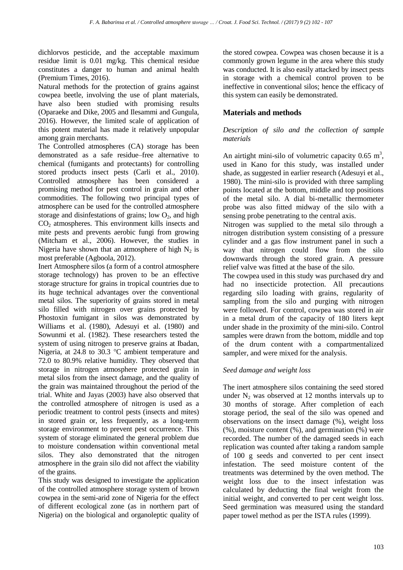dichlorvos pesticide, and the acceptable maximum residue limit is 0.01 mg/kg. This chemical residue constitutes a danger to human and animal health (Premium Times, 2016).

Natural methods for the protection of grains against cowpea beetle, involving the use of plant materials, have also been studied with promising results (Oparaeke and Dike, 2005 and Ilesammi and Gungula, 2016). However, the limited scale of application of this potent material has made it relatively unpopular among grain merchants.

The Controlled atmospheres (CA) storage has been demonstrated as a safe residue–free alternative to chemical (fumigants and protectants) for controlling stored products insect pests (Carli et al., 2010). Controlled atmosphere has been considered a promising method for pest control in grain and other commodities. The following two principal types of atmosphere can be used for the controlled atmosphere storage and disinfestations of grains; low  $O_2$ , and high  $CO<sub>2</sub>$  atmospheres. This environment kills insects and mite pests and prevents aerobic fungi from growing (Mitcham et al., 2006). However, the studies in Nigeria have shown that an atmosphere of high  $N_2$  is most preferable (Agboola, 2012).

Inert Atmosphere silos (a form of a control atmosphere storage technology) has proven to be an effective storage structure for grains in tropical countries due to its huge technical advantages over the conventional metal silos. The superiority of grains stored in metal silo filled with nitrogen over grains protected by Phostoxin fumigant in silos was demonstrated by Williams et al. (1980), Adesuyi et al. (1980) and Sowunmi et al. (1982). These researchers tested the system of using nitrogen to preserve grains at Ibadan, Nigeria, at 24.8 to 30.3 °C ambient temperature and 72.0 to 80.9% relative humidity. They observed that storage in nitrogen atmosphere protected grain in metal silos from the insect damage, and the quality of the grain was maintained throughout the period of the trial. White and Jayas (2003) have also observed that the controlled atmosphere of nitrogen is used as a periodic treatment to control pests (insects and mites) in stored grain or, less frequently, as a long-term storage environment to prevent pest occurrence. This system of storage eliminated the general problem due to moisture condensation within conventional metal silos. They also demonstrated that the nitrogen atmosphere in the grain silo did not affect the viability of the grains.

This study was designed to investigate the application of the controlled atmosphere storage system of brown cowpea in the semi-arid zone of Nigeria for the effect of different ecological zone (as in northern part of Nigeria) on the biological and organoleptic quality of the stored cowpea. Cowpea was chosen because it is a commonly grown legume in the area where this study was conducted. It is also easily attacked by insect pests in storage with a chemical control proven to be ineffective in conventional silos; hence the efficacy of this system can easily be demonstrated.

# **Materials and methods**

## *Description of silo and the collection of sample materials*

An airtight mini-silo of volumetric capacity  $0.65 \text{ m}^3$ , used in Kano for this study, was installed under shade, as suggested in earlier research (Adesuyi et al., 1980). The mini-silo is provided with three sampling points located at the bottom, middle and top positions of the metal silo. A dial bi-metallic thermometer probe was also fitted midway of the silo with a sensing probe penetrating to the central axis.

Nitrogen was supplied to the metal silo through a nitrogen distribution system consisting of a pressure cylinder and a gas flow instrument panel in such a way that nitrogen could flow from the silo downwards through the stored grain. A pressure relief valve was fitted at the base of the silo.

The cowpea used in this study was purchased dry and had no insecticide protection. All precautions regarding silo loading with grains, regularity of sampling from the silo and purging with nitrogen were followed. For control, cowpea was stored in air in a metal drum of the capacity of 180 liters kept under shade in the proximity of the mini-silo. Control samples were drawn from the bottom, middle and top of the drum content with a compartmentalized sampler, and were mixed for the analysis.

# *Seed damage and weight loss*

The inert atmosphere silos containing the seed stored under  $N_2$  was observed at 12 months intervals up to 30 months of storage. After completion of each storage period, the seal of the silo was opened and observations on the insect damage (%), weight loss (%), moisture content (%), and germination (%) were recorded. The number of the damaged seeds in each replication was counted after taking a random sample of 100 g seeds and converted to per cent insect infestation. The seed moisture content of the treatments was determined by the oven method. The weight loss due to the insect infestation was calculated by deducting the final weight from the initial weight, and converted to per cent weight loss. Seed germination was measured using the standard paper towel method as per the ISTA rules (1999).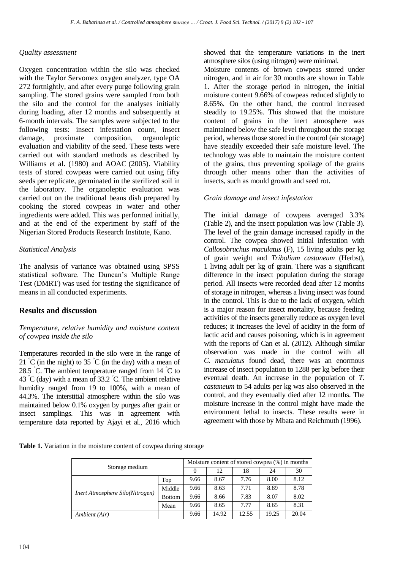## *Quality assessment*

Oxygen concentration within the silo was checked with the Taylor Servomex oxygen analyzer, type OA 272 fortnightly, and after every purge following grain sampling. The stored grains were sampled from both the silo and the control for the analyses initially during loading, after 12 months and subsequently at 6-month intervals. The samples were subjected to the following tests: insect infestation count, insect damage, proximate composition, organoleptic evaluation and viability of the seed. These tests were carried out with standard methods as described by Williams et al. (1980) and AOAC (2005). Viability tests of stored cowpeas were carried out using fifty seeds per replicate, germinated in the sterilized soil in the laboratory. The organoleptic evaluation was carried out on the traditional beans dish prepared by cooking the stored cowpeas in water and other ingredients were added. This was performed initially, and at the end of the experiment by staff of the Nigerian Stored Products Research Institute, Kano.

## *Statistical Analysis*

The analysis of variance was obtained using SPSS statistical software. The Duncan's Multiple Range Test (DMRT) was used for testing the significance of means in all conducted experiments.

## **Results and discussion**

## *Temperature, relative humidity and moisture content of cowpea inside the silo*

Temperatures recorded in the silo were in the range of 21  $\degree$ C (in the night) to 35  $\degree$ C (in the day) with a mean of 28.5 °C. The ambient temperature ranged from 14 °C to 43 °C (day) with a mean of 33.2 °C. The ambient relative humidity ranged from 19 to 100%, with a mean of 44.3%. The interstitial atmosphere within the silo was maintained below 0.1% oxygen by purges after grain or insect samplings. This was in agreement with temperature data reported by Ajayi et al., 2016 which

showed that the temperature variations in the inert atmosphere silos (using nitrogen) were minimal.

Moisture contents of brown cowpeas stored under nitrogen, and in air for 30 months are shown in Table 1. After the storage period in nitrogen, the initial moisture content 9.66% of cowpeas reduced slightly to 8.65%. On the other hand, the control increased steadily to 19.25%. This showed that the moisture content of grains in the inert atmosphere was maintained below the safe level throughout the storage period, whereas those stored in the control (air storage) have steadily exceeded their safe moisture level. The technology was able to maintain the moisture content of the grains, thus preventing spoilage of the grains through other means other than the activities of insects, such as mould growth and seed rot.

## *Grain damage and insect infestation*

The initial damage of cowpeas averaged 3.3% (Table 2), and the insect population was low (Table 3). The level of the grain damage increased rapidly in the control. The cowpea showed initial infestation with *Callosobruchus maculatus* (F), 15 living adults per kg of grain weight and *Tribolium castaneum* (Herbst), 1 living adult per kg of grain. There was a significant difference in the insect population during the storage period. All insects were recorded dead after 12 months of storage in nitrogen, whereas a living insect was found in the control. This is due to the lack of oxygen, which is a major reason for insect mortality, because feeding activities of the insects generally reduce as oxygen level reduces; it increases the level of acidity in the form of lactic acid and causes poisoning, which is in agreement with the reports of Can et al. (2012). Although similar observation was made in the control with all *C. maculatus* found dead, there was an enormous increase of insect population to 1288 per kg before their eventual death. An increase in the population of *T. castaneum* to 54 adults per kg was also observed in the control, and they eventually died after 12 months. The moisture increase in the control might have made the environment lethal to insects. These results were in agreement with those by Mbata and Reichmuth (1996).

**Table 1.** Variation in the moisture content of cowpea during storage

| Storage medium                         |        | Moisture content of stored cowpea (%) in months |       |       |       |       |  |
|----------------------------------------|--------|-------------------------------------------------|-------|-------|-------|-------|--|
|                                        |        | $\Omega$                                        | 12    | 18    | 24    | 30    |  |
|                                        | Top    | 9.66                                            | 8.67  | 7.76  | 8.00  | 8.12  |  |
| <i>Inert Atmosphere Silo(Nitrogen)</i> | Middle | 9.66                                            | 8.63  | 7.71  | 8.89  | 8.78  |  |
|                                        | Bottom | 9.66                                            | 8.66  | 7.83  | 8.07  | 8.02  |  |
|                                        | Mean   | 9.66                                            | 8.65  | 7.77  | 8.65  | 8.31  |  |
| Ambient (Air)                          |        | 9.66                                            | 14.92 | 12.55 | 19.25 | 20.04 |  |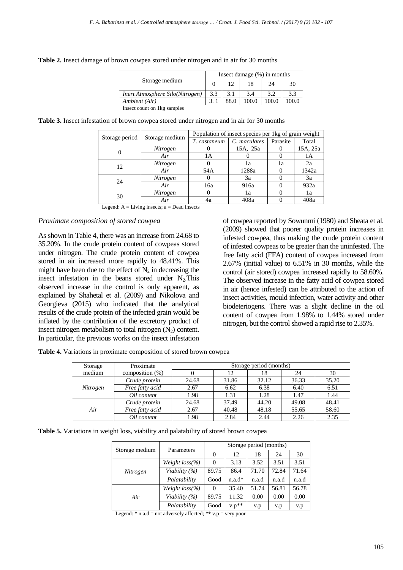| Table 2. Insect damage of brown cowpea stored under nitrogen and in air for 30 months |
|---------------------------------------------------------------------------------------|
|---------------------------------------------------------------------------------------|

|                                                                                                                       | Insect damage $(\%)$ in months |      |       |     |     |  |  |
|-----------------------------------------------------------------------------------------------------------------------|--------------------------------|------|-------|-----|-----|--|--|
| Storage medium                                                                                                        |                                | 12   | 18    | 24  | 30  |  |  |
| Inert Atmosphere Silo(Nitrogen)                                                                                       | 3.3                            | 3.1  | 3.4   | 3.2 | 3.3 |  |  |
| Ambient (Air)                                                                                                         |                                | 88.0 | 100.0 |     |     |  |  |
| 11<br>the contract of the contract of the contract of the contract of the contract of the contract of the contract of |                                |      |       |     |     |  |  |

Insect count on 1kg samples

**Table 3.** Insect infestation of brown cowpea stored under nitrogen and in air for 30 months

|                | Storage medium | Population of insect species per 1kg of grain weight |              |          |          |  |  |
|----------------|----------------|------------------------------------------------------|--------------|----------|----------|--|--|
| Storage period |                | T. castaneum                                         | C. maculates | Parasite | Total    |  |  |
|                | Nitrogen       |                                                      | 15A, 25a     |          | 15A, 25a |  |  |
|                | Air            | 1А                                                   |              |          | 1А       |  |  |
| 12             | Nitrogen       |                                                      | 1a           | 1a       | 2a       |  |  |
|                | Air            | 54A                                                  | 1288a        |          | 1342a    |  |  |
| 24             | Nitrogen       |                                                      | 3a           |          | 3a       |  |  |
|                | Air            | 16a                                                  | 916a         |          | 932a     |  |  |
| 30             | Nitrogen       |                                                      | 1a           |          | 1a       |  |  |
|                | Air            | 4a                                                   | 408a         |          | 408a     |  |  |

Legend:  $A = Living$  insects;  $a = Dead$  insects

#### *Proximate composition of stored cowpea*

As shown in Table 4, there was an increase from 24.68 to 35.20%. In the crude protein content of cowpeas stored under nitrogen. The crude protein content of cowpea stored in air increased more rapidly to 48.41%. This might have been due to the effect of  $N_2$  in decreasing the insect infestation in the beans stored under  $N_2$ . This observed increase in the control is only apparent, as explained by Shahetal et al. (2009) and Nikolova and Georgieva (2015) who indicated that the analytical results of the crude protein of the infected grain would be inflated by the contribution of the excretory product of insect nitrogen metabolism to total nitrogen  $(N_2)$  content. In particular, the previous works on the insect infestation of cowpea reported by Sowunmi (1980) and Sheata et al. (2009) showed that poorer quality protein increases in infested cowpea, thus making the crude protein content of infested cowpeas to be greater than the uninfested. The free fatty acid (FFA) content of cowpea increased from 2.67% (initial value) to 6.51% in 30 months, while the control (air stored) cowpea increased rapidly to 58.60%. The observed increase in the fatty acid of cowpea stored in air (hence infested) can be attributed to the action of insect activities, mould infection, water activity and other biodeteriogens. There was a slight decline in the oil content of cowpea from 1.98% to 1.44% stored under nitrogen, but the control showed a rapid rise to 2.35%.

**Table 4.** Variations in proximate composition of stored brown cowpea

| Storage  | Proximate          | Storage period (months) |       |       |       |       |  |
|----------|--------------------|-------------------------|-------|-------|-------|-------|--|
| medium   | composition $(\%)$ |                         | 12    | 18    | 24    | 30    |  |
|          | Crude protein      | 24.68                   | 31.86 | 32.12 | 36.33 | 35.20 |  |
| Nitrogen | Free fatty acid    | 2.67                    | 6.62  | 6.38  | 6.40  | 6.51  |  |
|          | Oil content        | 1.98                    | 1.31  | 1.28  | 1.47  | 1.44  |  |
|          | Crude protein      | 24.68                   | 37.49 | 44.20 | 49.08 | 48.41 |  |
| Air      | Free fatty acid    | 2.67                    | 40.48 | 48.18 | 55.65 | 58.60 |  |
|          | Oil content        | 1.98                    | 2.84  | 2.44  | 2.26  | 2.35  |  |

| Table 5. Variations in weight loss, viability and palatability of stored brown cowpea |  |  |  |  |  |
|---------------------------------------------------------------------------------------|--|--|--|--|--|
|---------------------------------------------------------------------------------------|--|--|--|--|--|

|                | Parameters         | Storage period (months) |          |       |       |       |  |
|----------------|--------------------|-------------------------|----------|-------|-------|-------|--|
| Storage medium |                    | $\theta$                | 12       | 18    | 24    | 30    |  |
| Nitrogen       | Weight $loss(\%)$  | $\Omega$                | 3.13     | 3.52  | 3.51  | 3.51  |  |
|                | Viability (%)      | 89.75                   | 86.4     | 71.70 | 72.84 | 71.64 |  |
|                | Palatability       | Good                    | $n.a.d*$ | n.a.d | n.a.d | n.a.d |  |
| Air            | Weight $loss(\% )$ | $\Omega$                | 35.40    | 51.74 | 56.81 | 56.78 |  |
|                | Viability (%)      | 89.75                   | 11.32    | 0.00  | 0.00  | 0.00  |  |
|                | Palatability       | Good                    | $v.p**$  | v.p   | v.p   | v.p   |  |

Legend:  $*$  n.a.d = not adversely affected;  $**$  v.p = very poor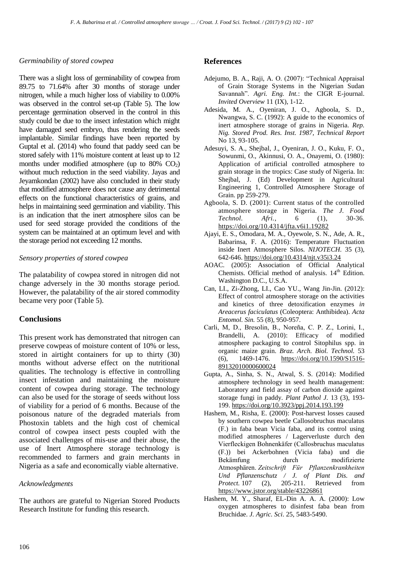### *Germinability of stored cowpea*

There was a slight loss of germinability of cowpea from 89.75 to 71.64% after 30 months of storage under nitrogen, while a much higher loss of viability to 0.00% was observed in the control set-up (Table 5). The low percentage germination observed in the control in this study could be due to the insect infestation which might have damaged seed embryo, thus rendering the seeds implantable. Similar findings have been reported by Guptal et al. (2014) who found that paddy seed can be stored safely with 11% moisture content at least up to 12 months under modified atmosphere (up to  $80\%$  CO<sub>2</sub>) without much reduction in the seed viability. Jayas and Jeyamkondan (2002) have also concluded in their study that modified atmosphere does not cause any detrimental effects on the functional characteristics of grains, and helps in maintaining seed germination and viability. This is an indication that the inert atmosphere silos can be used for seed storage provided the conditions of the system can be maintained at an optimum level and with the storage period not exceeding 12 months.

#### *Sensory properties of stored cowpea*

The palatability of cowpea stored in nitrogen did not change adversely in the 30 months storage period. However, the palatability of the air stored commodity became very poor (Table 5).

## **Conclusions**

This present work has demonstrated that nitrogen can preserve cowpeas of moisture content of 10% or less, stored in airtight containers for up to thirty (30) months without adverse effect on the nutritional qualities. The technology is effective in controlling insect infestation and maintaining the moisture content of cowpea during storage. The technology can also be used for the storage of seeds without loss of viability for a period of 6 months. Because of the poisonous nature of the degraded materials from Phostoxin tablets and the high cost of chemical control of cowpea insect pests coupled with the associated challenges of mis-use and their abuse, the use of Inert Atmosphere storage technology is recommended to farmers and grain merchants in Nigeria as a safe and economically viable alternative.

## *Acknowledgments*

The authors are grateful to Nigerian Stored Products Research Institute for funding this research.

## **References**

- Adejumo, B. A., Raji, A. O. (2007): "Technical Appraisal of Grain Storage Systems in the Nigerian Sudan Savannah". *Agri. Eng. Int.*: the CIGR E-journal. *Invited Overview* 11 (IX), 1-12.
- Adesida, M. A., Oyeniran, J. O., Agboola, S. D., Nwangwa, S. C. (1992): A guide to the economics of inert atmosphere storage of grains in Nigeria*. Rep. Nig. Stored Prod. Res. Inst. 1987, Technical Report* No 13, 93-105.
- Adesuyi, S. A., Shejbal, J., Oyeniran, J. O., Kuku, F. O., Sowunmi, O., Akinnusi, O. A., Onayemi, O. (1980): Application of artificial controlled atmosphere to grain storage in the tropics: Case study of Nigeria. In: Shejbal, J. (Ed) Development in Agricultural Engineering 1, Controlled Atmosphere Storage of Grain. pp 259-279.
- Agboola, S. D. (2001): Current status of the controlled atmosphere storage in Nigeria. *The J. Food Technol. Afri.*, 6 (1), 30-36. [https://doi.org/10.4314/jfta.v6i1.19282](https://dx.doi.org/10.4314/jfta.v6i1.19282)
- Ajayi, E. S., Omodara, M. A., Oyewole, S. N., Ade, A. R., Babarinsa, F. A. (2016): Temperature Fluctuation inside Inert Atmosphere Silos. *NIJOTECH.* 35 (3), 642-646.<https://doi.org/10.4314/njt.v35i3.24>
- AOAC. (2005): Association of Official Analytical Chemists. Official method of analysis. 14<sup>th</sup> Edition. Washington D.C., U.S.A.
- Can, LI., Zi-Zhong, LI., Cao YU., Wang Jin-Jin. (2012): Effect of control atmosphere storage on the activities and kinetics of three detoxification enzymes *in Areacerus faciculatus* (Coleoptera: Anthibidea). *Acta Entomol. Sin.* 55 (8), 950-957.
- Carli, M, D., Bresolin, B., Noreña, C. P. Z., Lorini, I., Brandelli, A. (2010): Efficacy of modified atmosphere packaging to control Sitophilus spp. in organic maize grain. *Braz. Arch. Biol. Technol.* 53 (6), 1469-1476. [https://doi.org/10.1590/S1516-](https://doi.org/10.1590/S1516-89132010000600024) [89132010000600024](https://doi.org/10.1590/S1516-89132010000600024)
- Gupta, A., Sinha, S. N., Atwal, S. S. (2014): Modified atmosphere technology in seed health management: Laboratory and field assay of carbon dioxide against storage fungi in paddy. *Plant Pathol J.* 13 (3), 193- 199[. https://doi.org/10.3923/ppj.2014.193.199](https://doi.org/10.3923/ppj.2014.193.199)
- Hashem, M., Risha, E. (2000): Post-harvest losses caused by southern cowpea beetle Callosobruchus maculatus (F.) in faba bean Vicia faba, and its control using modified atmospheres / Lagerverluste durch den Vierfleckigen Bohnenkäfer (Callosbruchus maculatus (F.)) bei Ackerbohnen (Vicia faba) und die Bekämfung durch modifizierte Atmosphären. *Zeitschrift Für Pflanzenkrankheiten Und Pflanzenschutz / J. of Plant Dis. and Protect.* 107 (2), 205-211. Retrieved from <https://www.jstor.org/stable/43226861>
- Hashem, M. Y., Sharaf, EL-Din A. A. A. (2000): Low oxygen atmospheres to disinfest faba bean from Bruchidae. *J. Agric. Sci*. 25, 5483-5490.